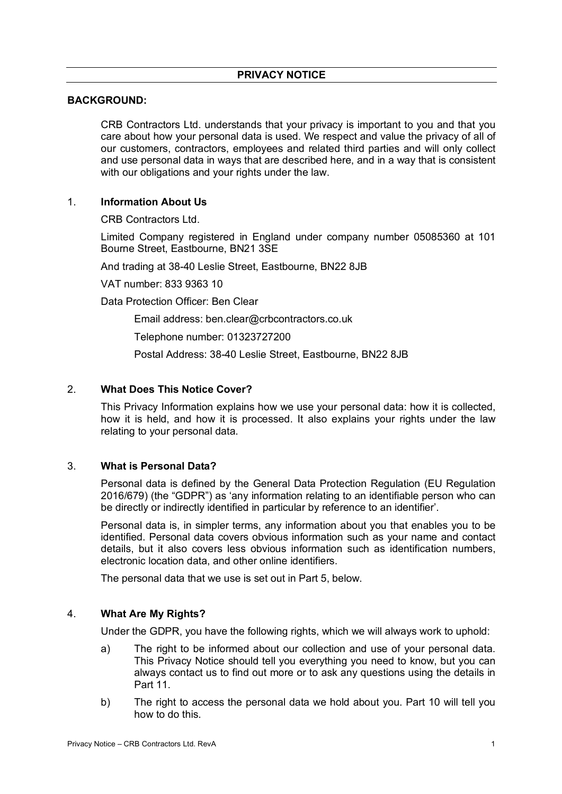# **BACKGROUND:**

CRB Contractors Ltd. understands that your privacy is important to you and that you care about how your personal data is used. We respect and value the privacy of all of our customers, contractors, employees and related third parties and will only collect and use personal data in ways that are described here, and in a way that is consistent with our obligations and your rights under the law.

# 1. **Information About Us**

CRB Contractors Ltd.

Limited Company registered in England under company number 05085360 at 101 Bourne Street, Eastbourne, BN21 3SE

And trading at 38-40 Leslie Street, Eastbourne, BN22 8JB

VAT number: 833 9363 10

Data Protection Officer: Ben Clear

Email address: ben.clear@crbcontractors.co.uk

Telephone number: 01323727200

Postal Address: 38-40 Leslie Street, Eastbourne, BN22 8JB

# 2. **What Does This Notice Cover?**

This Privacy Information explains how we use your personal data: how it is collected, how it is held, and how it is processed. It also explains your rights under the law relating to your personal data.

# 3. **What is Personal Data?**

Personal data is defined by the General Data Protection Regulation (EU Regulation 2016/679) (the "GDPR") as 'any information relating to an identifiable person who can be directly or indirectly identified in particular by reference to an identifier'.

Personal data is, in simpler terms, any information about you that enables you to be identified. Personal data covers obvious information such as your name and contact details, but it also covers less obvious information such as identification numbers, electronic location data, and other online identifiers.

The personal data that we use is set out in Part 5, below.

# 4. **What Are My Rights?**

Under the GDPR, you have the following rights, which we will always work to uphold:

- a) The right to be informed about our collection and use of your personal data. This Privacy Notice should tell you everything you need to know, but you can always contact us to find out more or to ask any questions using the details in Part 11.
- b) The right to access the personal data we hold about you. Part 10 will tell you how to do this.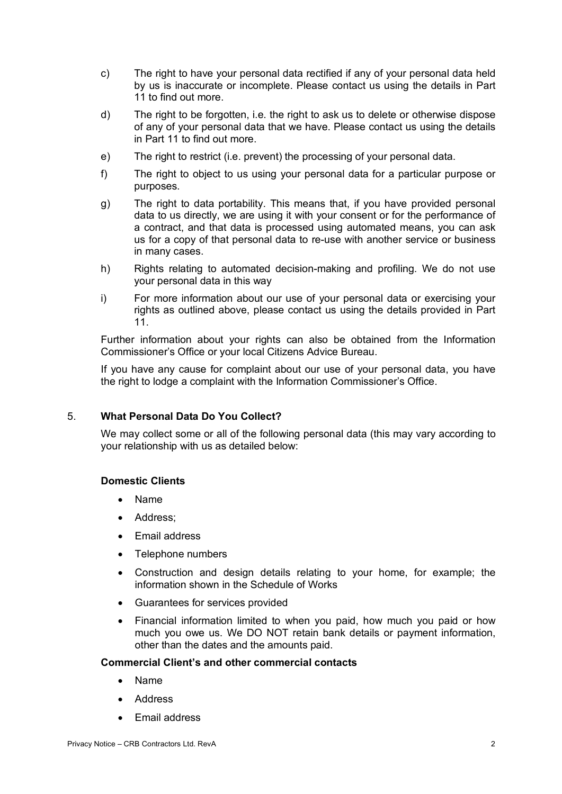- c) The right to have your personal data rectified if any of your personal data held by us is inaccurate or incomplete. Please contact us using the details in Part 11 to find out more.
- d) The right to be forgotten, i.e. the right to ask us to delete or otherwise dispose of any of your personal data that we have. Please contact us using the details in Part 11 to find out more.
- e) The right to restrict (i.e. prevent) the processing of your personal data.
- f) The right to object to us using your personal data for a particular purpose or purposes.
- g) The right to data portability. This means that, if you have provided personal data to us directly, we are using it with your consent or for the performance of a contract, and that data is processed using automated means, you can ask us for a copy of that personal data to re-use with another service or business in many cases.
- h) Rights relating to automated decision-making and profiling. We do not use your personal data in this way
- i) For more information about our use of your personal data or exercising your rights as outlined above, please contact us using the details provided in Part 11.

Further information about your rights can also be obtained from the Information Commissioner's Office or your local Citizens Advice Bureau.

If you have any cause for complaint about our use of your personal data, you have the right to lodge a complaint with the Information Commissioner's Office.

#### 5. **What Personal Data Do You Collect?**

We may collect some or all of the following personal data (this may vary according to your relationship with us as detailed below:

### **Domestic Clients**

- Name
- Address;
- Email address
- Telephone numbers
- Construction and design details relating to your home, for example; the information shown in the Schedule of Works
- Guarantees for services provided
- Financial information limited to when you paid, how much you paid or how much you owe us. We DO NOT retain bank details or payment information, other than the dates and the amounts paid.

#### **Commercial Client's and other commercial contacts**

- Name
- Address
- Email address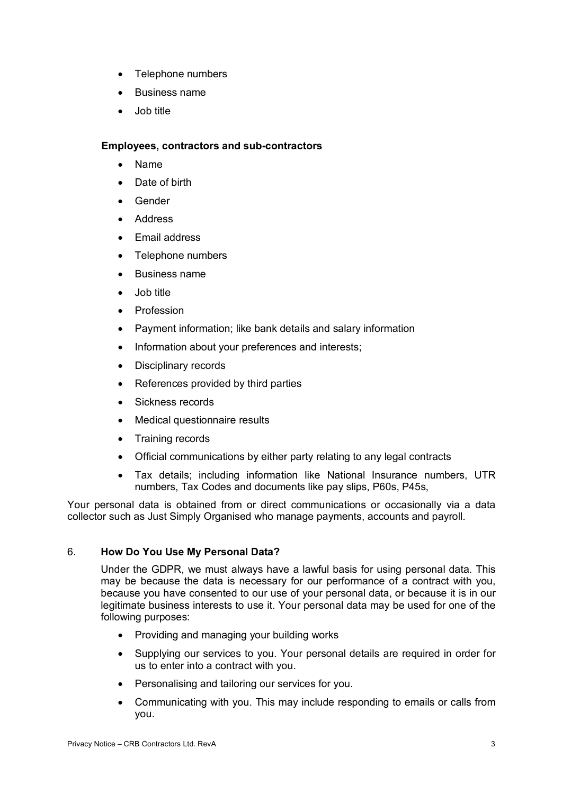- Telephone numbers
- Business name
- Job title

#### **Employees, contractors and sub-contractors**

- Name
- Date of birth
- **Gender**
- Address
- Email address
- Telephone numbers
- Business name
- Job title
- **Profession**
- Payment information; like bank details and salary information
- Information about your preferences and interests;
- Disciplinary records
- References provided by third parties
- Sickness records
- Medical questionnaire results
- Training records
- Official communications by either party relating to any legal contracts
- Tax details; including information like National Insurance numbers, UTR numbers, Tax Codes and documents like pay slips, P60s, P45s,

Your personal data is obtained from or direct communications or occasionally via a data collector such as Just Simply Organised who manage payments, accounts and payroll.

# 6. **How Do You Use My Personal Data?**

Under the GDPR, we must always have a lawful basis for using personal data. This may be because the data is necessary for our performance of a contract with you, because you have consented to our use of your personal data, or because it is in our legitimate business interests to use it. Your personal data may be used for one of the following purposes:

- Providing and managing your building works
- Supplying our services to you. Your personal details are required in order for us to enter into a contract with you.
- Personalising and tailoring our services for you.
- Communicating with you. This may include responding to emails or calls from you.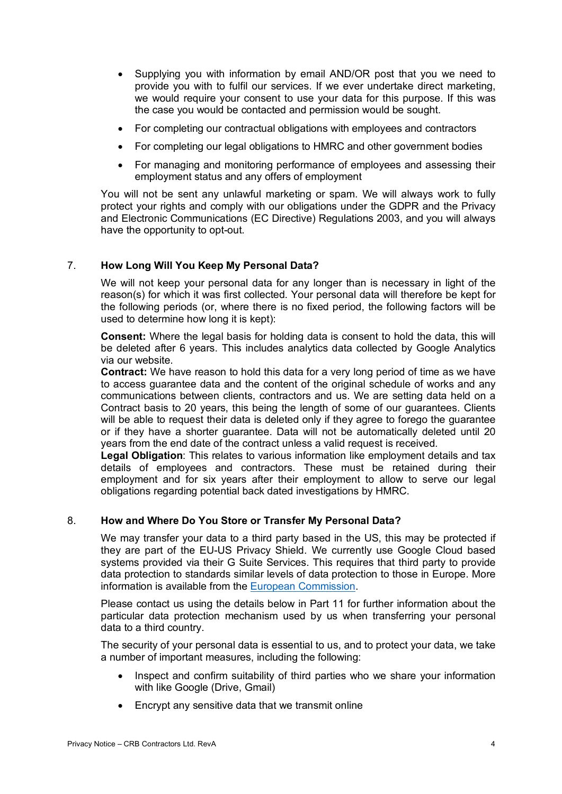- Supplying you with information by email AND/OR post that you we need to provide you with to fulfil our services. If we ever undertake direct marketing, we would require your consent to use your data for this purpose. If this was the case you would be contacted and permission would be sought.
- For completing our contractual obligations with employees and contractors
- For completing our legal obligations to HMRC and other government bodies
- For managing and monitoring performance of employees and assessing their employment status and any offers of employment

You will not be sent any unlawful marketing or spam. We will always work to fully protect your rights and comply with our obligations under the GDPR and the Privacy and Electronic Communications (EC Directive) Regulations 2003, and you will always have the opportunity to opt-out.

# 7. **How Long Will You Keep My Personal Data?**

We will not keep your personal data for any longer than is necessary in light of the reason(s) for which it was first collected. Your personal data will therefore be kept for the following periods (or, where there is no fixed period, the following factors will be used to determine how long it is kept):

**Consent:** Where the legal basis for holding data is consent to hold the data, this will be deleted after 6 years. This includes analytics data collected by Google Analytics via our website.

**Contract:** We have reason to hold this data for a very long period of time as we have to access guarantee data and the content of the original schedule of works and any communications between clients, contractors and us. We are setting data held on a Contract basis to 20 years, this being the length of some of our guarantees. Clients will be able to request their data is deleted only if they agree to forego the quarantee or if they have a shorter guarantee. Data will not be automatically deleted until 20 years from the end date of the contract unless a valid request is received.

**Legal Obligation**: This relates to various information like employment details and tax details of employees and contractors. These must be retained during their employment and for six years after their employment to allow to serve our legal obligations regarding potential back dated investigations by HMRC.

#### 8. **How and Where Do You Store or Transfer My Personal Data?**

We may transfer your data to a third party based in the US, this may be protected if they are part of the EU-US Privacy Shield. We currently use Google Cloud based systems provided via their G Suite Services. This requires that third party to provide data protection to standards similar levels of data protection to those in Europe. More information is available from the European Commission.

Please contact us using the details below in Part 11 for further information about the particular data protection mechanism used by us when transferring your personal data to a third country.

The security of your personal data is essential to us, and to protect your data, we take a number of important measures, including the following:

- Inspect and confirm suitability of third parties who we share your information with like Google (Drive, Gmail)
- Encrypt any sensitive data that we transmit online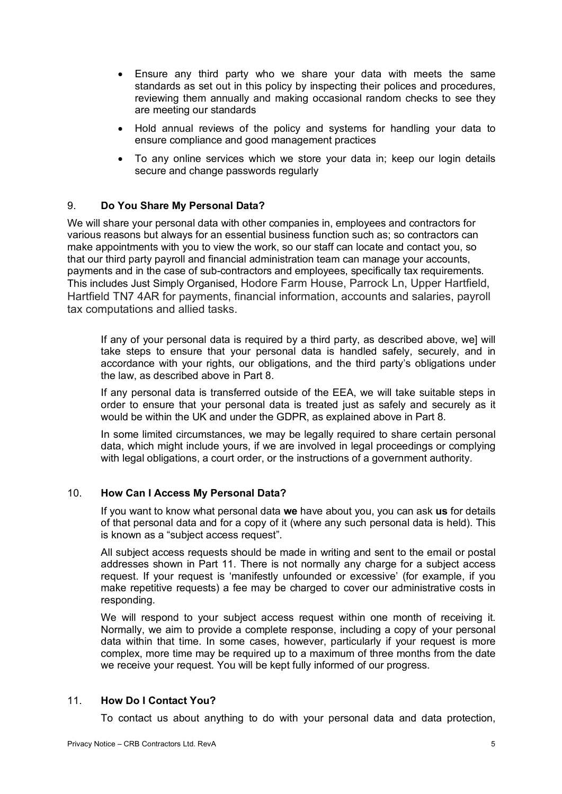- Ensure any third party who we share your data with meets the same standards as set out in this policy by inspecting their polices and procedures, reviewing them annually and making occasional random checks to see they are meeting our standards
- Hold annual reviews of the policy and systems for handling your data to ensure compliance and good management practices
- To any online services which we store your data in; keep our login details secure and change passwords regularly

# 9. **Do You Share My Personal Data?**

We will share your personal data with other companies in, employees and contractors for various reasons but always for an essential business function such as; so contractors can make appointments with you to view the work, so our staff can locate and contact you, so that our third party payroll and financial administration team can manage your accounts, payments and in the case of sub-contractors and employees, specifically tax requirements. This includes Just Simply Organised, Hodore Farm House, Parrock Ln, Upper Hartfield, Hartfield TN7 4AR for payments, financial information, accounts and salaries, payroll tax computations and allied tasks.

If any of your personal data is required by a third party, as described above, we] will take steps to ensure that your personal data is handled safely, securely, and in accordance with your rights, our obligations, and the third party's obligations under the law, as described above in Part 8.

If any personal data is transferred outside of the EEA, we will take suitable steps in order to ensure that your personal data is treated just as safely and securely as it would be within the UK and under the GDPR, as explained above in Part 8.

In some limited circumstances, we may be legally required to share certain personal data, which might include yours, if we are involved in legal proceedings or complying with legal obligations, a court order, or the instructions of a government authority.

### 10. **How Can I Access My Personal Data?**

If you want to know what personal data **we** have about you, you can ask **us** for details of that personal data and for a copy of it (where any such personal data is held). This is known as a "subject access request".

All subject access requests should be made in writing and sent to the email or postal addresses shown in Part 11. There is not normally any charge for a subject access request. If your request is 'manifestly unfounded or excessive' (for example, if you make repetitive requests) a fee may be charged to cover our administrative costs in responding.

We will respond to your subject access request within one month of receiving it. Normally, we aim to provide a complete response, including a copy of your personal data within that time. In some cases, however, particularly if your request is more complex, more time may be required up to a maximum of three months from the date we receive your request. You will be kept fully informed of our progress.

### 11. **How Do I Contact You?**

To contact us about anything to do with your personal data and data protection,